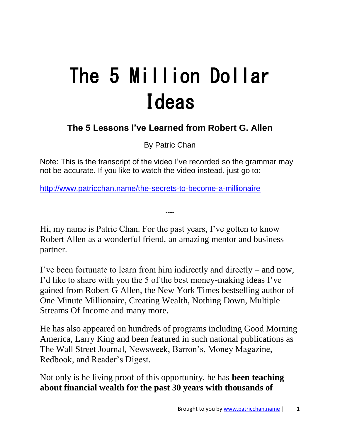# The 5 Million Dollar Ideas

## **The 5 Lessons I've Learned from Robert G. Allen**

By Patric Chan

Note: This is the transcript of the video I've recorded so the grammar may not be accurate. If you like to watch the video instead, just go to:

----

<http://www.patricchan.name/the-secrets-to-become-a-millionaire>

Hi, my name is Patric Chan. For the past years, I've gotten to know Robert Allen as a wonderful friend, an amazing mentor and business partner.

I've been fortunate to learn from him indirectly and directly – and now, I'd like to share with you the 5 of the best money-making ideas I've gained from Robert G Allen, the New York Times bestselling author of One Minute Millionaire, Creating Wealth, Nothing Down, Multiple Streams Of Income and many more.

He has also appeared on hundreds of programs including Good Morning America, Larry King and been featured in such national publications as The Wall Street Journal, Newsweek, Barron's, Money Magazine, Redbook, and Reader's Digest.

Not only is he living proof of this opportunity, he has **been teaching about financial wealth for the past 30 years with thousands of**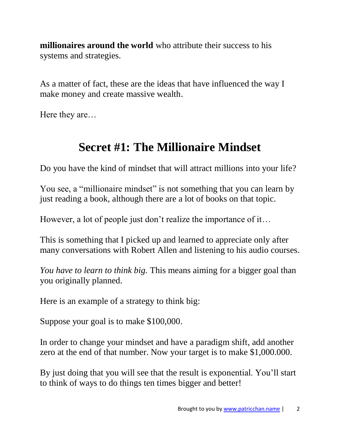**millionaires around the world** who attribute their success to his systems and strategies.

As a matter of fact, these are the ideas that have influenced the way I make money and create massive wealth.

Here they are…

## **Secret #1: The Millionaire Mindset**

Do you have the kind of mindset that will attract millions into your life?

You see, a "millionaire mindset" is not something that you can learn by just reading a book, although there are a lot of books on that topic.

However, a lot of people just don't realize the importance of it…

This is something that I picked up and learned to appreciate only after many conversations with Robert Allen and listening to his audio courses.

*You have to learn to think big.* This means aiming for a bigger goal than you originally planned.

Here is an example of a strategy to think big:

Suppose your goal is to make \$100,000.

In order to change your mindset and have a paradigm shift, add another zero at the end of that number. Now your target is to make \$1,000.000.

By just doing that you will see that the result is exponential. You'll start to think of ways to do things ten times bigger and better!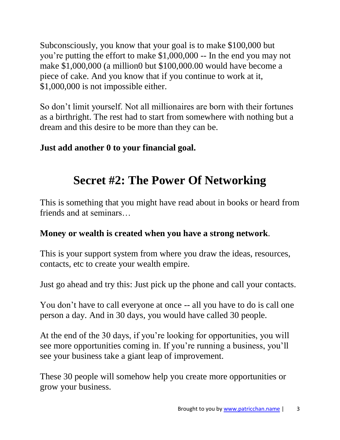Subconsciously, you know that your goal is to make \$100,000 but you're putting the effort to make \$1,000,000 -- In the end you may not make \$1,000,000 (a million0 but \$100,000.00 would have become a piece of cake. And you know that if you continue to work at it, \$1,000,000 is not impossible either.

So don't limit yourself. Not all millionaires are born with their fortunes as a birthright. The rest had to start from somewhere with nothing but a dream and this desire to be more than they can be.

## **Just add another 0 to your financial goal.**

# **Secret #2: The Power Of Networking**

This is something that you might have read about in books or heard from friends and at seminars…

## **Money or wealth is created when you have a strong network**.

This is your support system from where you draw the ideas, resources, contacts, etc to create your wealth empire.

Just go ahead and try this: Just pick up the phone and call your contacts.

You don't have to call everyone at once -- all you have to do is call one person a day. And in 30 days, you would have called 30 people.

At the end of the 30 days, if you're looking for opportunities, you will see more opportunities coming in. If you're running a business, you'll see your business take a giant leap of improvement.

These 30 people will somehow help you create more opportunities or grow your business.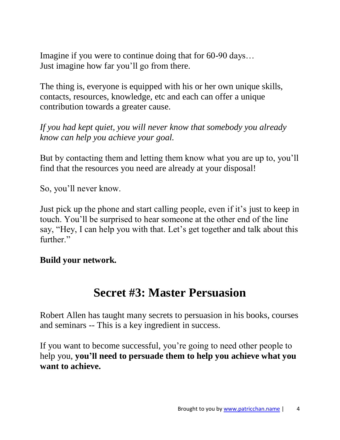Imagine if you were to continue doing that for 60-90 days… Just imagine how far you'll go from there.

The thing is, everyone is equipped with his or her own unique skills, contacts, resources, knowledge, etc and each can offer a unique contribution towards a greater cause.

*If you had kept quiet, you will never know that somebody you already know can help you achieve your goal.* 

But by contacting them and letting them know what you are up to, you'll find that the resources you need are already at your disposal!

So, you'll never know.

Just pick up the phone and start calling people, even if it's just to keep in touch. You'll be surprised to hear someone at the other end of the line say, "Hey, I can help you with that. Let's get together and talk about this further."

#### **Build your network.**

## **Secret #3: Master Persuasion**

Robert Allen has taught many secrets to persuasion in his books, courses and seminars -- This is a key ingredient in success.

If you want to become successful, you're going to need other people to help you, **you'll need to persuade them to help you achieve what you want to achieve.**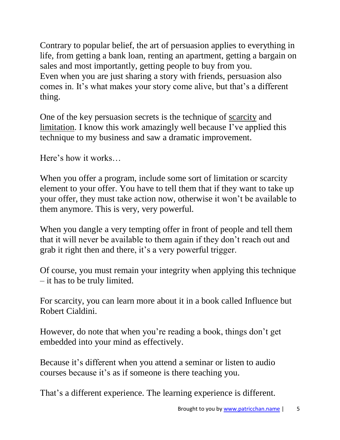Contrary to popular belief, the art of persuasion applies to everything in life, from getting a bank loan, renting an apartment, getting a bargain on sales and most importantly, getting people to buy from you. Even when you are just sharing a story with friends, persuasion also comes in. It's what makes your story come alive, but that's a different thing.

One of the key persuasion secrets is the technique of scarcity and limitation. I know this work amazingly well because I've applied this technique to my business and saw a dramatic improvement.

Here's how it works…

When you offer a program, include some sort of limitation or scarcity element to your offer. You have to tell them that if they want to take up your offer, they must take action now, otherwise it won't be available to them anymore. This is very, very powerful.

When you dangle a very tempting offer in front of people and tell them that it will never be available to them again if they don't reach out and grab it right then and there, it's a very powerful trigger.

Of course, you must remain your integrity when applying this technique – it has to be truly limited.

For scarcity, you can learn more about it in a book called Influence but Robert Cialdini.

However, do note that when you're reading a book, things don't get embedded into your mind as effectively.

Because it's different when you attend a seminar or listen to audio courses because it's as if someone is there teaching you.

That's a different experience. The learning experience is different.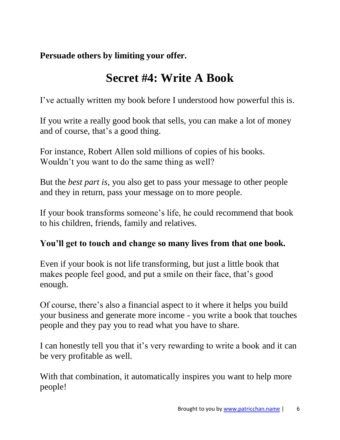**Persuade others by limiting your offer.**

# **Secret #4: Write A Book**

I've actually written my book before I understood how powerful this is.

If you write a really good book that sells, you can make a lot of money and of course, that's a good thing.

For instance, Robert Allen sold millions of copies of his books. Wouldn't you want to do the same thing as well?

But the *best part is*, you also get to pass your message to other people and they in return, pass your message on to more people.

If your book transforms someone's life, he could recommend that book to his children, friends, family and relatives.

#### **You'll get to touch and change so many lives from that one book.**

Even if your book is not life transforming, but just a little book that makes people feel good, and put a smile on their face, that's good enough.

Of course, there's also a financial aspect to it where it helps you build your business and generate more income - you write a book that touches people and they pay you to read what you have to share.

I can honestly tell you that it's very rewarding to write a book and it can be very profitable as well.

With that combination, it automatically inspires you want to help more people!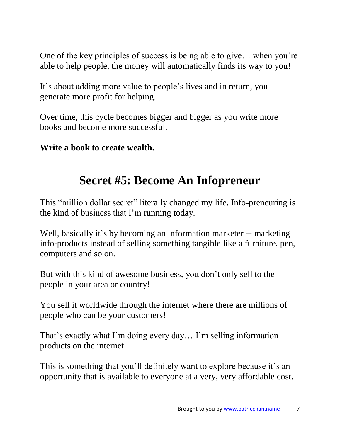One of the key principles of success is being able to give… when you're able to help people, the money will automatically finds its way to you!

It's about adding more value to people's lives and in return, you generate more profit for helping.

Over time, this cycle becomes bigger and bigger as you write more books and become more successful.

**Write a book to create wealth.**

## **Secret #5: Become An Infopreneur**

This "million dollar secret" literally changed my life. Info-preneuring is the kind of business that I'm running today.

Well, basically it's by becoming an information marketer -- marketing info-products instead of selling something tangible like a furniture, pen, computers and so on.

But with this kind of awesome business, you don't only sell to the people in your area or country!

You sell it worldwide through the internet where there are millions of people who can be your customers!

That's exactly what I'm doing every day… I'm selling information products on the internet.

This is something that you'll definitely want to explore because it's an opportunity that is available to everyone at a very, very affordable cost.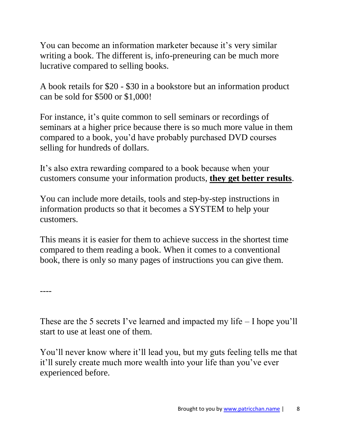You can become an information marketer because it's very similar writing a book. The different is, info-preneuring can be much more lucrative compared to selling books.

A book retails for \$20 - \$30 in a bookstore but an information product can be sold for \$500 or \$1,000!

For instance, it's quite common to sell seminars or recordings of seminars at a higher price because there is so much more value in them compared to a book, you'd have probably purchased DVD courses selling for hundreds of dollars.

It's also extra rewarding compared to a book because when your customers consume your information products, **they get better results**.

You can include more details, tools and step-by-step instructions in information products so that it becomes a SYSTEM to help your customers.

This means it is easier for them to achieve success in the shortest time compared to them reading a book. When it comes to a conventional book, there is only so many pages of instructions you can give them.

----

These are the 5 secrets I've learned and impacted my life – I hope you'll start to use at least one of them.

You'll never know where it'll lead you, but my guts feeling tells me that it'll surely create much more wealth into your life than you've ever experienced before.